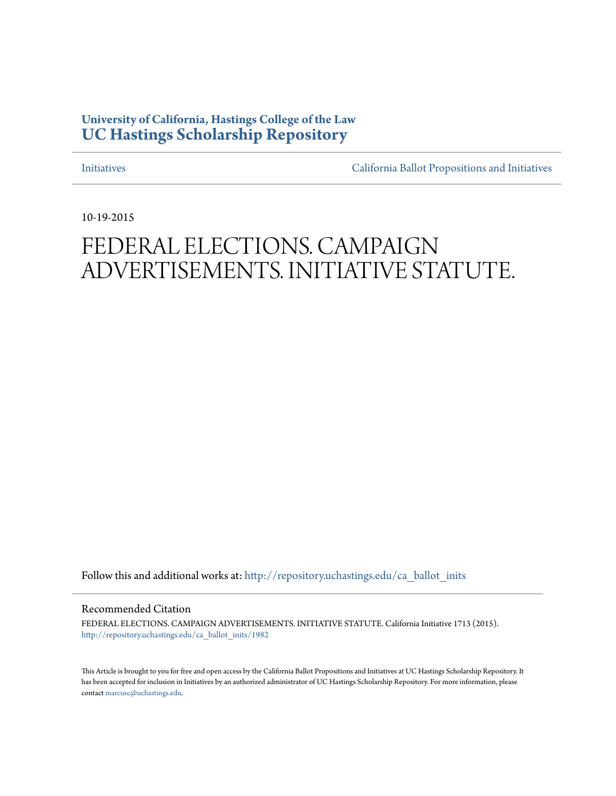### **University of California, Hastings College of the Law [UC Hastings Scholarship Repository](http://repository.uchastings.edu?utm_source=repository.uchastings.edu%2Fca_ballot_inits%2F1982&utm_medium=PDF&utm_campaign=PDFCoverPages)**

[Initiatives](http://repository.uchastings.edu/ca_ballot_inits?utm_source=repository.uchastings.edu%2Fca_ballot_inits%2F1982&utm_medium=PDF&utm_campaign=PDFCoverPages) [California Ballot Propositions and Initiatives](http://repository.uchastings.edu/ca_ballots?utm_source=repository.uchastings.edu%2Fca_ballot_inits%2F1982&utm_medium=PDF&utm_campaign=PDFCoverPages)

10-19-2015

# FEDERAL ELECTIONS. CAMPAIGN ADVERTISEMENTS. INITIATIVE STATUTE.

Follow this and additional works at: [http://repository.uchastings.edu/ca\\_ballot\\_inits](http://repository.uchastings.edu/ca_ballot_inits?utm_source=repository.uchastings.edu%2Fca_ballot_inits%2F1982&utm_medium=PDF&utm_campaign=PDFCoverPages)

Recommended Citation

FEDERAL ELECTIONS. CAMPAIGN ADVERTISEMENTS. INITIATIVE STATUTE. California Initiative 1713 (2015). [http://repository.uchastings.edu/ca\\_ballot\\_inits/1982](http://repository.uchastings.edu/ca_ballot_inits/1982?utm_source=repository.uchastings.edu%2Fca_ballot_inits%2F1982&utm_medium=PDF&utm_campaign=PDFCoverPages)

This Article is brought to you for free and open access by the California Ballot Propositions and Initiatives at UC Hastings Scholarship Repository. It has been accepted for inclusion in Initiatives by an authorized administrator of UC Hastings Scholarship Repository. For more information, please contact [marcusc@uchastings.edu](mailto:marcusc@uchastings.edu).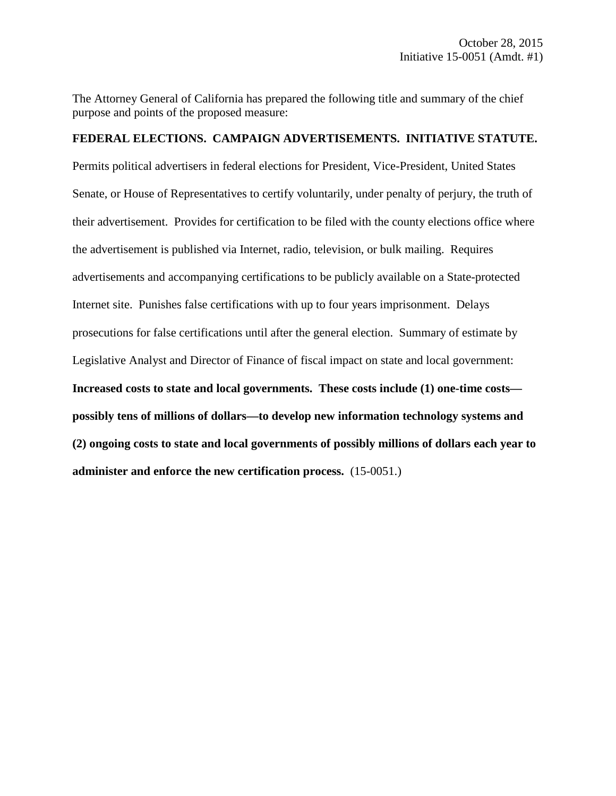The Attorney General of California has prepared the following title and summary of the chief purpose and points of the proposed measure:

#### **FEDERAL ELECTIONS. CAMPAIGN ADVERTISEMENTS. INITIATIVE STATUTE.**

Permits political advertisers in federal elections for President, Vice-President, United States Senate, or House of Representatives to certify voluntarily, under penalty of perjury, the truth of their advertisement. Provides for certification to be filed with the county elections office where the advertisement is published via Internet, radio, television, or bulk mailing. Requires advertisements and accompanying certifications to be publicly available on a State-protected Internet site. Punishes false certifications with up to four years imprisonment. Delays prosecutions for false certifications until after the general election. Summary of estimate by Legislative Analyst and Director of Finance of fiscal impact on state and local government: **Increased costs to state and local governments. These costs include (1) one-time costs possibly tens of millions of dollars—to develop new information technology systems and (2) ongoing costs to state and local governments of possibly millions of dollars each year to administer and enforce the new certification process.** (15-0051.)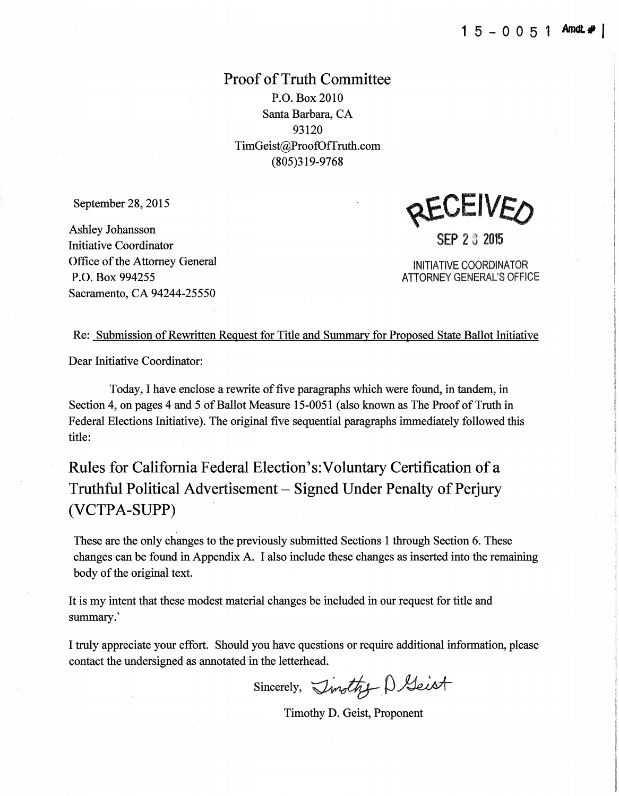Proof of Truth Committee P.O. Box 2010 Santa Barbara, CA 93120 TimGeist@ProofDffruth.com (805)319-9768

September 28,2015

Ashley Johansson Initiative Coordinator Office of the Attorney General P.O. Box 994255 Sacramento, CA 94244-25550

2EUEIVEA

SEP 2 3 2015

INITIATIVE COORDINATOR ATTORNEY GENERAL'S OFFICE

Re: Submission of Rewritten Request for Title and Summary for Proposed State Ballot Initiative

Dear Initiative Coordinator:

Today, I have enclose a rewrite of five paragraphs which were found, in tandem, in Section 4, on pages 4 and 5 of Ballot Measure 15-0051 (also known as The Proof of Truth in Federal Elections Initiative). The original five sequential paragraphs immediately followed this title:

Rules for California Federal Election's:Voluntary Certification of a Truthful Political Advertisement - Signed Under Penalty of Perjury (VCTPA-SUPP)

These are the only changes to the previously submitted Sections 1 through Section 6. These changes can be found in Appendix A. I also include these changes as inserted into the remaining body of the original text.

It is my intent that these modest material changes be included in our request for title and summary.'

I truly appreciate your effort. Should you have questions or require additional information, please contact the undersigned as annotated in the letterhead.

Sincerely,  $\mathcal{I}$ mothy  $\beta$  Geist

Timothy D. Geist, Proponent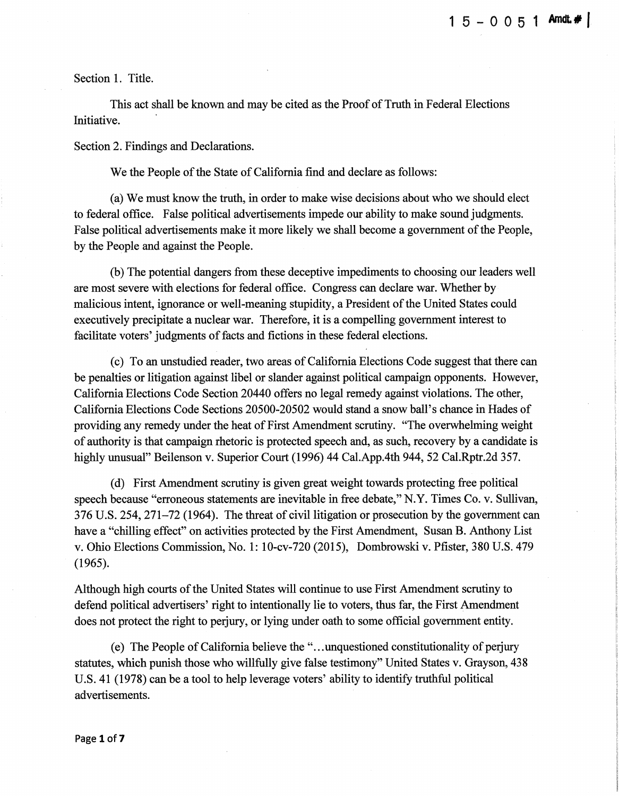Section I. Title.

This act shall be known and may be cited as the Proof of Truth in Federal Elections Initiative.

Section 2. Findings and Declarations.

We the People of the State of California find and declare as follows:

(a) We must know the truth, in order to make wise decisions about who we should elect to federal office. False political advertisements impede our ability to make sound judgments. False political advertisements make it more likely we shall become a government of the People, by the People and against the People.

(b) The potential dangers from these deceptive impediments to choosing our leaders well are most severe with elections for federal office. Congress can declare war. Whether by malicious intent, ignorance or well-meaning stupidity, a President of the United States could executively precipitate a nuclear war. Therefore, it is a compelling government interest to facilitate voters' judgments of facts and fictions in these federal elections.

(c) To an unstudied reader, two areas of California Elections Code suggest that there can be penalties or litigation against libel or slander against political campaign opponents. However, California Elections Code Section 20440 offers no legal remedy against violations. The other, California Elections Code Sections 20500-20502 would stand a snow ball's chance in Hades of providing any remedy under the heat of First Amendment scrutiny. "The overwhelming weight of authority is that campaign rhetoric is protected speech and, as such, recovery by a candidate is highly unusual" Beilenson v. Superior Court (1996) 44 Cal.App.4th 944, 52 Cal.Rptr.2d 357.

(d) First Amendment scrutiny is given great weight towards protecting free political speech because "erroneous statements are inevitable in free debate," N.Y. Times Co. v. Sullivan, 376 U.S. 254, 271-72 (1964). The threat of civil litigation or prosecution by the government can have a "chilling effect" on activities protected by the First Amendment, Susan B. Anthony List v. Ohio Elections Commission, No. 1: 10-cv-720 (2015), Dombrowski v. Pfister, 380 U.S. 479 (1965).

Although high courts of the United States will continue to use First Amendment scrutiny to defend political advertisers' right to intentionally lie to voters, thus far, the First Amendment does not protect the right to perjury, or lying under oath to some official government entity.

(e) The People of California believe the " ... unquestioned constitutionality of perjury statutes, which punish those who willfully give false testimony" United States v. Grayson, 438 U.S. 41 (1978) can be a tool to help leverage voters' ability to identify truthful political advertisements.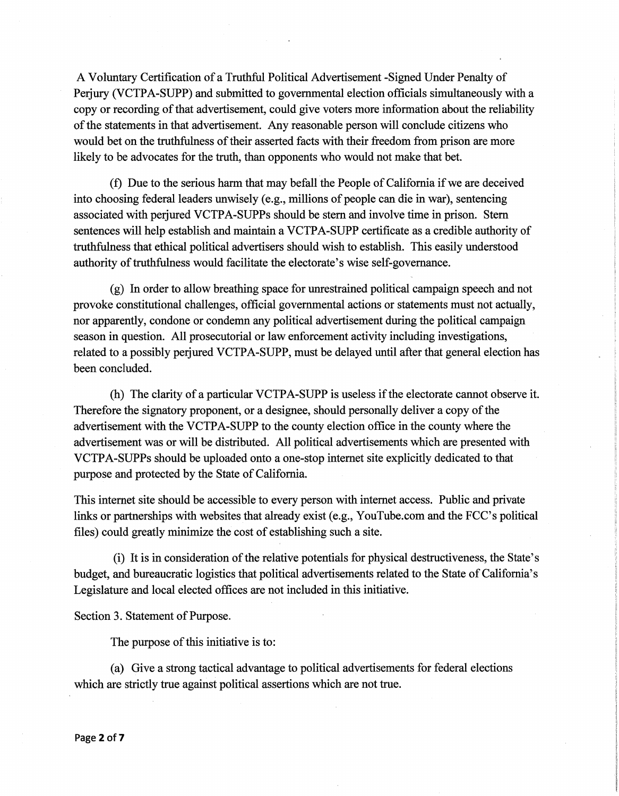A Voluntary Certification of a Truthful Political Advertisement -Signed Under Penalty of Perjury (VCTPA-SUPP) and submitted to governmental election officials simultaneously with a copy or recording of that advertisement, could give voters more information about the reliability of the statements in that advertisement. Any reasonable person will conclude citizens who would bet on the truthfulness of their asserted facts with their freedom from prison are more likely to be advocates for the truth, than opponents who would not make that bet.

(f) Due to the serious harm that may befall the People of California if we are deceived into choosing federal leaders unwisely (e.g., millions of people can die in war), sentencing associated with perjured VCTPA-SUPPs should be stern and involve time in prison. Stern sentences will help establish and maintain a VCTPA-SUPP certificate as a credible authority of truthfulness that ethical political advertisers should wish to establish. This easily understood authority of truthfulness would facilitate the electorate's wise self-governance.

(g) In order to allow breathing space for unrestrained political campaign speech and not provoke constitutional challenges, official governmental actions or statements must not actually, nor apparently, condone or condemn any political advertisement during the political campaign season in question. All prosecutorial or law enforcement activity including investigations, related to a possibly perjured VCTPA-SUPP, must be delayed until after that general election has been concluded.

(h) The clarity of a particular VCTPA-SUPP is useless if the electorate cannot observe it. Therefore the signatory proponent, or a designee, should personally deliver a copy of the advertisement with the VCTPA-SUPP to the county election office in the county where the advertisement was or will be distributed. All political advertisements which are presented with VCTPA-SUPPs should be uploaded onto a one-stop internet site explicitly dedicated to that purpose and protected by the State of California.

This internet site should be accessible to every person with internet access. Public and private links or partnerships with websites that already exist (e.g., YouTube.com and the FCC's political files) could greatly minimize the cost of establishing such a site.

(i) It is in consideration of the relative potentials for physical destructiveness, the State's budget, and bureaucratic logistics that political advertisements related to the State of California's Legislature and local elected offices are not included in this initiative.

Section 3. Statement of Purpose.

The purpose of this initiative is to:

(a) Give a strong tactical advantage to political advertisements for federal elections which are strictly true against political assertions which are not true.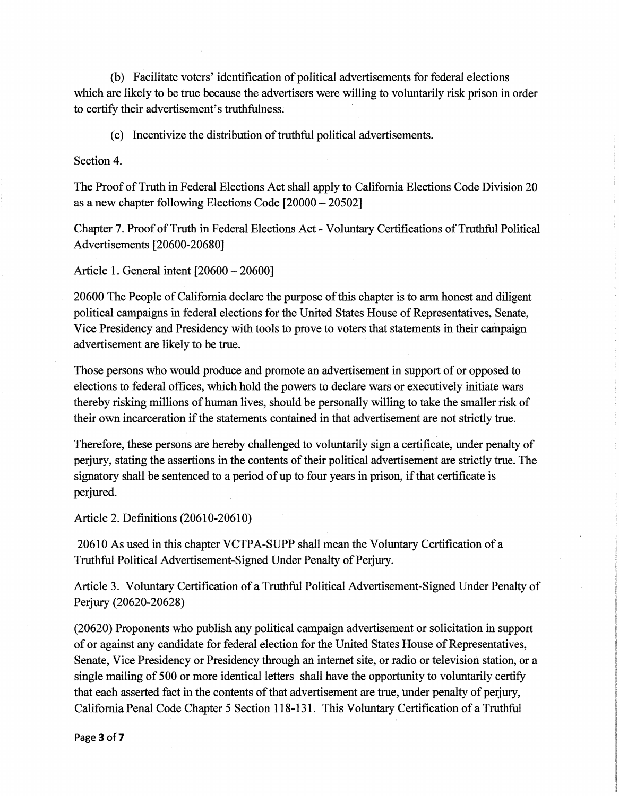(b) Facilitate voters' identification of political advertisements for federal elections which are likely to be true because the advertisers were willing to voluntarily risk prison in order to certify their advertisement's truthfulness.

(c) lncentivize the distribution of truthful political advertisements.

Section 4.

The Proof of Truth in Federal Elections Act shall apply to California Elections Code Division 20 as a new chapter following Elections Code [20000 - 20502]

Chapter 7. Proof of Truth in Federal Elections Act- Voluntary Certifications of Truthful Political Advertisements [20600-20680]

Article I. General intent [20600 - 20600]

20600 The People of California declare the purpose of this chapter is to arm honest and diligent political campaigns in federal elections for the United States House of Representatives, Senate, Vice Presidency and Presidency with tools to prove to voters that statements in their campaign advertisement are likely to be true.

Those persons who would produce and promote an advertisement in support of or opposed to elections to federal offices, which hold the powers to declare wars or executively initiate wars thereby risking millions of human lives, should be personally willing to take the smaller risk of their own incarceration if the statements contained in that advertisement are not strictly true.

Therefore, these persons are hereby challenged to voluntarily sign a certificate, under penalty of perjury, stating the assertions in the contents of their political advertisement are strictly true. The signatory shall be sentenced to a period of up to four years in prison, if that certificate is perjured.

Article 2. Definitions (20610-20610)

20610 As used in this chapter VCTPA-SUPP shall mean the Voluntary Certification of a Truthful Political Advertisement-Signed Under Penalty of Perjury.

Article 3. Voluntary Certification of a Truthful Political Advertisement-Signed Under Penalty of Perjury (20620-20628)

(20620) Proponents who publish any political campaign advertisement or solicitation in support of or against any candidate for federal election for the United States House of Representatives, Senate, Vice Presidency or Presidency through an internet site, or radio or television station, or a single mailing of 500 or more identical letters shall have the opportunity to voluntarily certify that each asserted fact in the contents of that advertisement are true, under penalty of perjury, California Penal Code Chapter 5 Section 118-131. This Voluntary Certification of a Truthful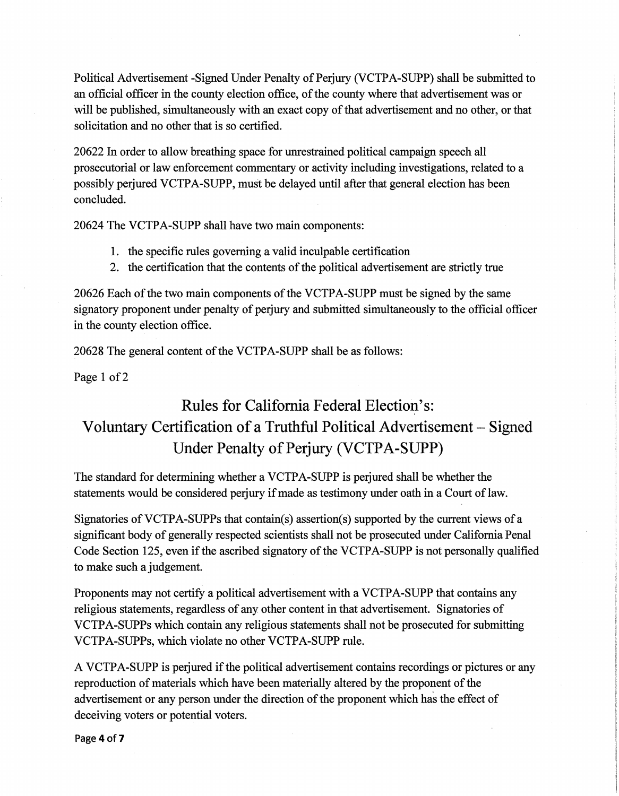Political Advertisement -Signed Under Penalty of Perjury (VCTPA-SUPP) shall be submitted to an official officer in the county election office, of the county where that advertisement was or will be published, simultaneously with an exact copy of that advertisement and no other, or that solicitation and no other that is so certified.

20622 In order to allow breathing space for unrestrained political campaign speech all prosecutorial or law enforcement commentary or activity including investigations, related to a possibly perjured VCTPA-SUPP, must be delayed until after that general election has been concluded.

20624 The VCTPA-SUPP shall have two main components:

- 1. the specific rules governing a valid inculpable certification
- 2. the certification that the contents of the political advertisement are strictly true

20626 Each of the two main components of the VCTPA-SUPP must be signed by the same signatory proponent under penalty of perjury and submitted simultaneously to the official officer in the county election office.

20628 The general content of the VCTPA-SUPP shall be as follows:

Page 1 of 2

### Rules for California Federal Election's: Voluntary Certification of a Truthful Political Advertisement - Signed Under Penalty of Perjury (VCTPA-SUPP)

The standard for determining whether a VCTPA-SUPP is perjured shall be whether the statements would be considered perjury if made as testimony under oath in a Court of law.

Signatories of VCTPA-SUPPs that contain(s) assertion(s) supported by the current views of a significant body of generally respected scientists shall not be prosecuted under California Penal Code Section 125, even if the ascribed signatory of the VCTPA-SUPP is not personally qualified to make such a judgement.

Proponents may not certify a political advertisement with a VCTPA-SUPP that contains any religious statements, regardless of any other content in that advertisement. Signatories of VCTPA-SUPPs which contain any religious statements shall not be prosecuted for submitting VCTPA-SUPPs, which violate no other VCTPA-SUPP rule.

A VCTPA-SUPP is perjured if the political advertisement contains recordings or pictures or any reproduction of materials which have been materially altered by the proponent of the advertisement or any person under the direction of the proponent which has the effect of deceiving voters or potential voters.

Page 4 of 7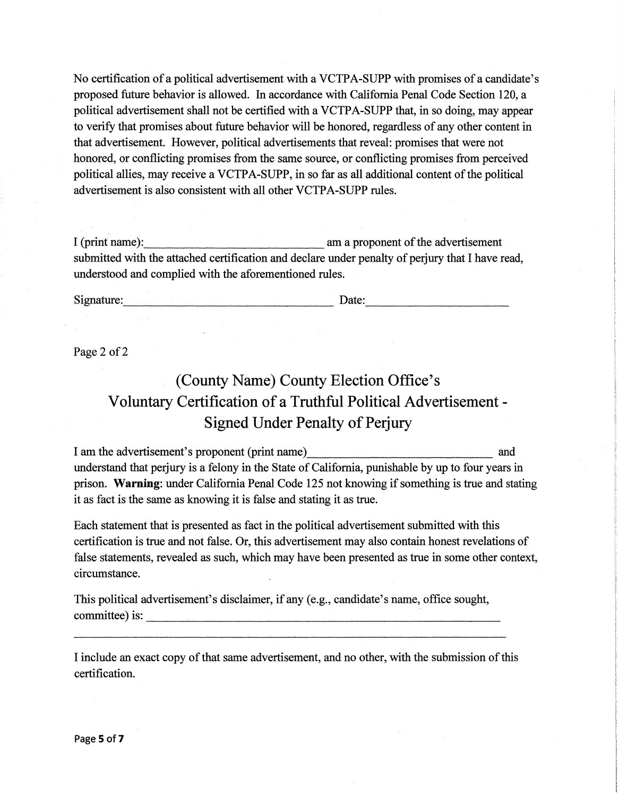No certification of a political advertisement with a VCTPA-SUPP with promises of a candidate's proposed future behavior is allowed. In accordance with California Penal Code Section 120, a political advertisement shall not be certified with a VCTPA-SUPP that, in so doing, may appear to verify that promises about future behavior will be honored, regardless of any other content in that advertisement. However, political advertisements that reveal: promises that were not honored, or conflicting promises from the same source, or conflicting promises from perceived political allies, may receive a VCTPA-SUPP, in so far as all additional content of the political advertisement is also consistent with all other VCTPA-SUPP rules.

I (print name): am a proponent of the advertisement submitted with the attached certification and declare under penalty of perjury that I have read, understood and complied with the aforementioned rules.

Signature: <u>Date:</u>

Page 2 of 2

## (County Name) County Election Office's Voluntary Certification of a Truthful Political Advertisement - Signed Under Penalty of Perjury

I am the advertisement's proponent (print name) and understand that perjury is a felony in the State of California, punishable by up to four years in prison. Warning: under California Penal Code 125 not knowing if something is true and stating it as fact is the same as knowing it is false and stating it as true.

Each statement that is presented as fact in the political advertisement submitted with this certification is true and not false. Or, this advertisement may also contain honest revelations of false statements, revealed as such, which may have been presented as true in some other context, circumstance.

This political advertisement's disclaimer, if any (e.g., candidate's name, office sought, committee) is:

I include an exact copy of that same advertisement, and no other, with the submission of this certification.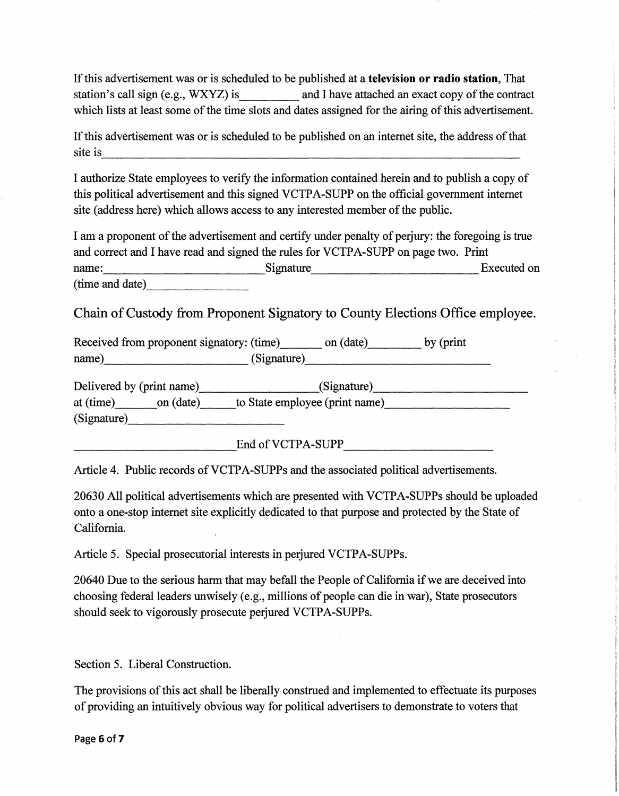If this advertisement was or is scheduled to be published at a television or radio station, That station's call sign (e.g., WXYZ) is and I have attached an exact copy of the contract which lists at least some of the time slots and dates assigned for the airing of this advertisement.

If this advertisement was or is scheduled to be published on an internet site, the address of that site is ----------------------------------------------------------

I authorize State employees to verify the information contained herein and to publish a copy of this political advertisement and this signed VCTPA-SUPP on the official government internet site (address here) which allows access to any interested member of the public.

I am a proponent of the advertisement and certify under penalty of perjury: the foregoing is true and correct and I have read and signed the rules for VCTPA-SUPP on page two. Print name: Signature Executed on (time and date) \_\_\_\_\_\_ \_

Chain of Custody from Proponent Signatory to County Elections Office employee.

Received from proponent signatory: (time) on (date) by (print name) (Signature) \_\_\_\_\_\_\_\_\_\_\_ \_

Delivered by (print name) \_\_\_\_\_\_\_\_\_\_\_\_\_\_\_\_(Signature) \_\_\_\_\_\_\_\_\_\_\_\_\_\_\_\_\_\_\_\_\_\_\_\_\_\_\_ at (time) on (date) to State employee (print name)  $(Signature)$ 

 $\text{End of VCTPA-SUPP}$ 

Article 4. Public records of VCTPA-SUPPs and the associated political advertisements.

20630 All political advertisements which are presented with VCTP A-SUPPs should be uploaded onto a one-stop internet site explicitly dedicated to that purpose and protected by the State of California.

Article 5. Special prosecutorial interests in perjured VCTPA-SUPPs.

20640 Due to the serious harm that may befall the People of California if we are deceived into choosing federal leaders unwisely (e.g., millions of people can die in war), State prosecutors should seek to vigorously prosecute perjured VCTPA-SUPPs.

Section 5. Liberal Construction.

The provisions of this act shall be liberally construed and implemented to effectuate its purposes of providing an intuitively obvious way for political advertisers to demonstrate to voters that